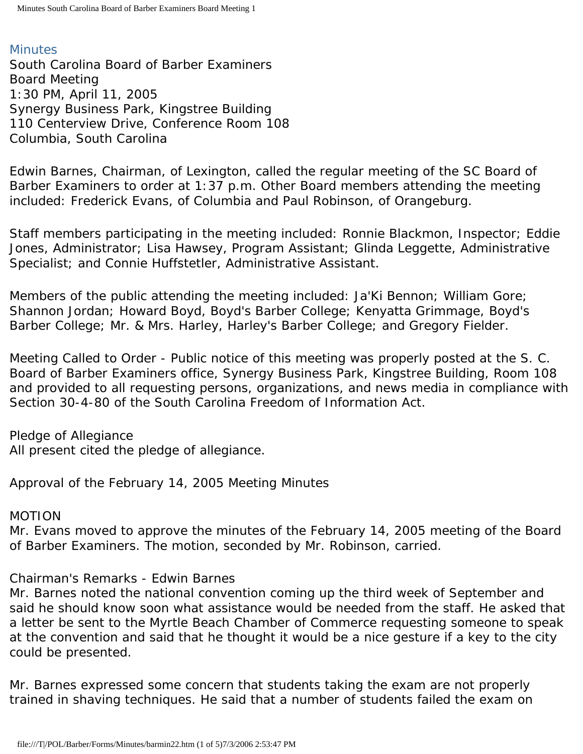### **Minutes**

South Carolina Board of Barber Examiners Board Meeting 1:30 PM, April 11, 2005 Synergy Business Park, Kingstree Building 110 Centerview Drive, Conference Room 108 Columbia, South Carolina

Edwin Barnes, Chairman, of Lexington, called the regular meeting of the SC Board of Barber Examiners to order at 1:37 p.m. Other Board members attending the meeting included: Frederick Evans, of Columbia and Paul Robinson, of Orangeburg.

Staff members participating in the meeting included: Ronnie Blackmon, Inspector; Eddie Jones, Administrator; Lisa Hawsey, Program Assistant; Glinda Leggette, Administrative Specialist; and Connie Huffstetler, Administrative Assistant.

Members of the public attending the meeting included: Ja'Ki Bennon; William Gore; Shannon Jordan; Howard Boyd, Boyd's Barber College; Kenyatta Grimmage, Boyd's Barber College; Mr. & Mrs. Harley, Harley's Barber College; and Gregory Fielder.

Meeting Called to Order - Public notice of this meeting was properly posted at the S. C. Board of Barber Examiners office, Synergy Business Park, Kingstree Building, Room 108 and provided to all requesting persons, organizations, and news media in compliance with Section 30-4-80 of the South Carolina Freedom of Information Act.

Pledge of Allegiance All present cited the pledge of allegiance.

Approval of the February 14, 2005 Meeting Minutes

### MOTION

Mr. Evans moved to approve the minutes of the February 14, 2005 meeting of the Board of Barber Examiners. The motion, seconded by Mr. Robinson, carried.

## Chairman's Remarks - Edwin Barnes

Mr. Barnes noted the national convention coming up the third week of September and said he should know soon what assistance would be needed from the staff. He asked that a letter be sent to the Myrtle Beach Chamber of Commerce requesting someone to speak at the convention and said that he thought it would be a nice gesture if a key to the city could be presented.

Mr. Barnes expressed some concern that students taking the exam are not properly trained in shaving techniques. He said that a number of students failed the exam on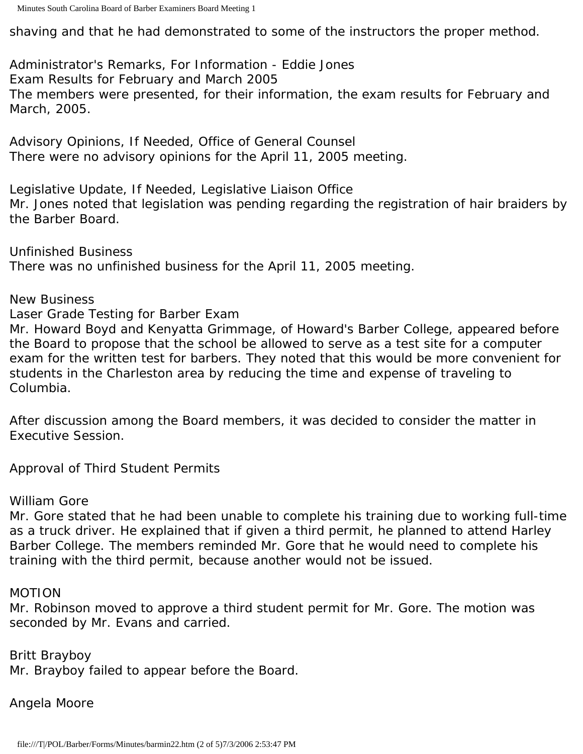shaving and that he had demonstrated to some of the instructors the proper method.

Administrator's Remarks, For Information - Eddie Jones Exam Results for February and March 2005 The members were presented, for their information, the exam results for February and March, 2005.

Advisory Opinions, If Needed, Office of General Counsel There were no advisory opinions for the April 11, 2005 meeting.

Legislative Update, If Needed, Legislative Liaison Office Mr. Jones noted that legislation was pending regarding the registration of hair braiders by the Barber Board.

Unfinished Business There was no unfinished business for the April 11, 2005 meeting.

New Business

Laser Grade Testing for Barber Exam

Mr. Howard Boyd and Kenyatta Grimmage, of Howard's Barber College, appeared before the Board to propose that the school be allowed to serve as a test site for a computer exam for the written test for barbers. They noted that this would be more convenient for students in the Charleston area by reducing the time and expense of traveling to Columbia.

After discussion among the Board members, it was decided to consider the matter in Executive Session.

Approval of Third Student Permits

William Gore

Mr. Gore stated that he had been unable to complete his training due to working full-time as a truck driver. He explained that if given a third permit, he planned to attend Harley Barber College. The members reminded Mr. Gore that he would need to complete his training with the third permit, because another would not be issued.

MOTION

Mr. Robinson moved to approve a third student permit for Mr. Gore. The motion was seconded by Mr. Evans and carried.

Britt Brayboy Mr. Brayboy failed to appear before the Board.

Angela Moore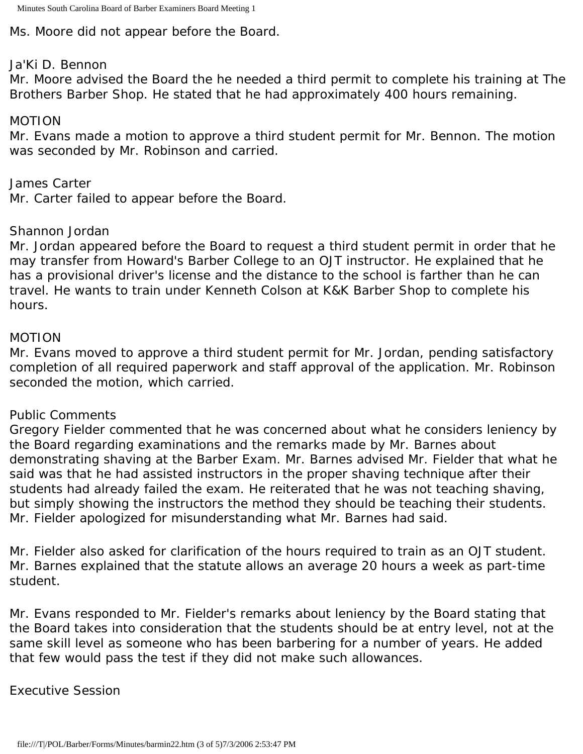Ms. Moore did not appear before the Board.

#### Ja'Ki D. Bennon

Mr. Moore advised the Board the he needed a third permit to complete his training at The Brothers Barber Shop. He stated that he had approximately 400 hours remaining.

### MOTION

Mr. Evans made a motion to approve a third student permit for Mr. Bennon. The motion was seconded by Mr. Robinson and carried.

James Carter

Mr. Carter failed to appear before the Board.

## Shannon Jordan

Mr. Jordan appeared before the Board to request a third student permit in order that he may transfer from Howard's Barber College to an OJT instructor. He explained that he has a provisional driver's license and the distance to the school is farther than he can travel. He wants to train under Kenneth Colson at K&K Barber Shop to complete his hours.

## MOTION

Mr. Evans moved to approve a third student permit for Mr. Jordan, pending satisfactory completion of all required paperwork and staff approval of the application. Mr. Robinson seconded the motion, which carried.

## Public Comments

Gregory Fielder commented that he was concerned about what he considers leniency by the Board regarding examinations and the remarks made by Mr. Barnes about demonstrating shaving at the Barber Exam. Mr. Barnes advised Mr. Fielder that what he said was that he had assisted instructors in the proper shaving technique after their students had already failed the exam. He reiterated that he was not teaching shaving, but simply showing the instructors the method they should be teaching their students. Mr. Fielder apologized for misunderstanding what Mr. Barnes had said.

Mr. Fielder also asked for clarification of the hours required to train as an OJT student. Mr. Barnes explained that the statute allows an average 20 hours a week as part-time student.

Mr. Evans responded to Mr. Fielder's remarks about leniency by the Board stating that the Board takes into consideration that the students should be at entry level, not at the same skill level as someone who has been barbering for a number of years. He added that few would pass the test if they did not make such allowances.

## Executive Session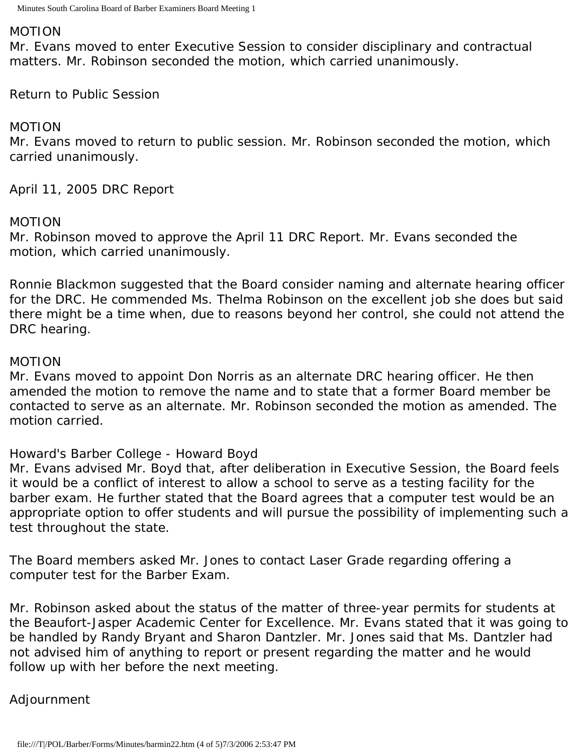#### MOTION

Mr. Evans moved to enter Executive Session to consider disciplinary and contractual matters. Mr. Robinson seconded the motion, which carried unanimously.

Return to Public Session

#### MOTION

Mr. Evans moved to return to public session. Mr. Robinson seconded the motion, which carried unanimously.

April 11, 2005 DRC Report

#### MOTION

Mr. Robinson moved to approve the April 11 DRC Report. Mr. Evans seconded the motion, which carried unanimously.

Ronnie Blackmon suggested that the Board consider naming and alternate hearing officer for the DRC. He commended Ms. Thelma Robinson on the excellent job she does but said there might be a time when, due to reasons beyond her control, she could not attend the DRC hearing.

#### MOTION

Mr. Evans moved to appoint Don Norris as an alternate DRC hearing officer. He then amended the motion to remove the name and to state that a former Board member be contacted to serve as an alternate. Mr. Robinson seconded the motion as amended. The motion carried.

### Howard's Barber College - Howard Boyd

Mr. Evans advised Mr. Boyd that, after deliberation in Executive Session, the Board feels it would be a conflict of interest to allow a school to serve as a testing facility for the barber exam. He further stated that the Board agrees that a computer test would be an appropriate option to offer students and will pursue the possibility of implementing such a test throughout the state.

The Board members asked Mr. Jones to contact Laser Grade regarding offering a computer test for the Barber Exam.

Mr. Robinson asked about the status of the matter of three-year permits for students at the Beaufort-Jasper Academic Center for Excellence. Mr. Evans stated that it was going to be handled by Randy Bryant and Sharon Dantzler. Mr. Jones said that Ms. Dantzler had not advised him of anything to report or present regarding the matter and he would follow up with her before the next meeting.

### Adjournment